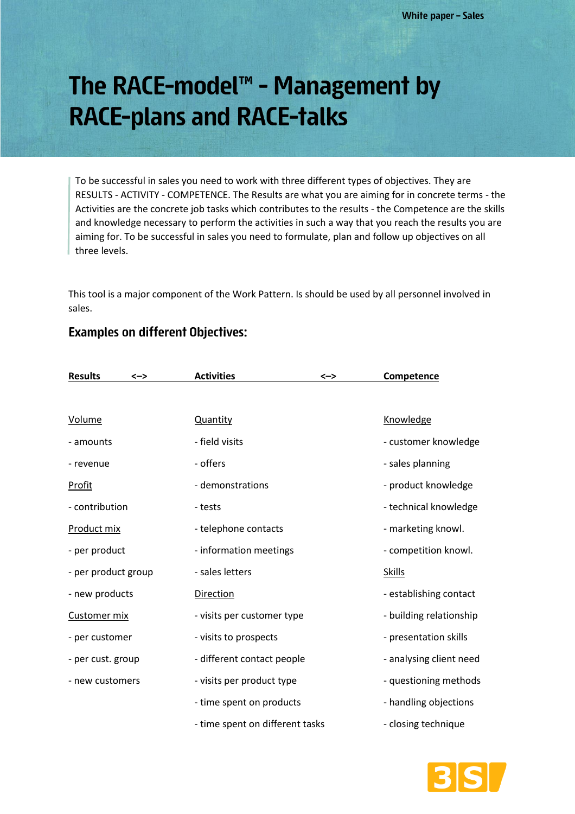# The RACE-model<sup>™</sup> - Management by **RACE-plans and RACE-talks**

To be successful in sales you need to work with three different types of objectives. They are RESULTS - ACTIVITY - COMPETENCE. The Results are what you are aiming for in concrete terms - the Activities are the concrete job tasks which contributes to the results - the Competence are the skills and knowledge necessary to perform the activities in such a way that you reach the results you are aiming for. To be successful in sales you need to formulate, plan and follow up objectives on all three levels.

This tool is a major component of the Work Pattern. Is should be used by all personnel involved in sales.

## **Examples on different Objectives:**

| <b>Results</b><br><-> | <b>Activities</b><br><->        | <b>Competence</b>       |
|-----------------------|---------------------------------|-------------------------|
|                       |                                 |                         |
| <b>Volume</b>         | Quantity                        | Knowledge               |
| - amounts             | - field visits                  | - customer knowledge    |
| - revenue             | - offers                        | - sales planning        |
| <b>Profit</b>         | - demonstrations                | - product knowledge     |
| - contribution        | - tests                         | - technical knowledge   |
| Product mix           | - telephone contacts            | - marketing knowl.      |
| - per product         | - information meetings          | - competition knowl.    |
| - per product group   | - sales letters                 | <b>Skills</b>           |
| - new products        | Direction                       | - establishing contact  |
| Customer mix          | - visits per customer type      | - building relationship |
| - per customer        | - visits to prospects           | - presentation skills   |
| - per cust. group     | - different contact people      | - analysing client need |
| - new customers       | - visits per product type       | - questioning methods   |
|                       | - time spent on products        | - handling objections   |
|                       | - time spent on different tasks | - closing technique     |

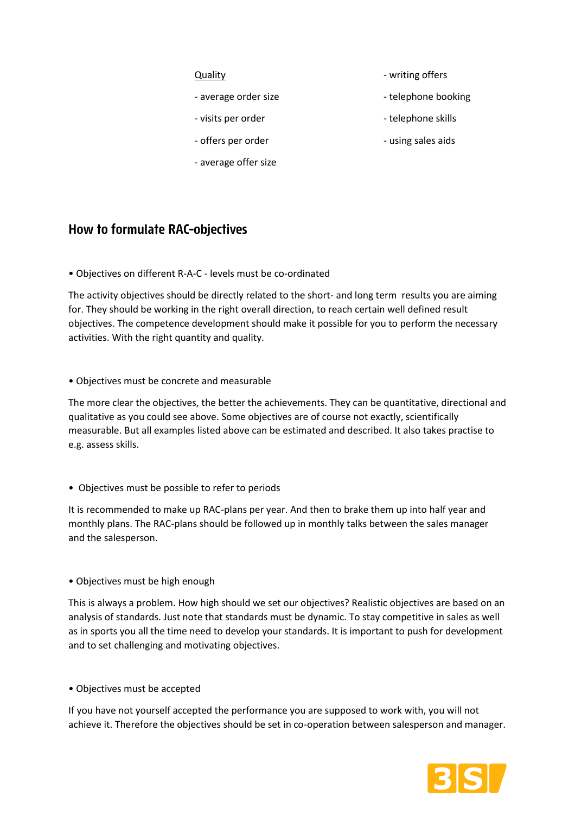- 
- 
- offers per order  $\overline{\phantom{a}}$  using sales aids
- average offer size
- Quality  **William Contract Contract Contract Contract Contract Contract Contract Contract Contract Contract Contract Contract Contract Contract Contract Contract Contract Contract Contract Contract Contract Contract Contr**
- average order size example and the stellar end of telephone booking
- visits per order  $\overline{\phantom{a}}$  telephone skills
	-

# **How to formulate RAC-objectives**

• Objectives on different R-A-C - levels must be co-ordinated

The activity objectives should be directly related to the short- and long term results you are aiming for. They should be working in the right overall direction, to reach certain well defined result objectives. The competence development should make it possible for you to perform the necessary activities. With the right quantity and quality.

#### • Objectives must be concrete and measurable

The more clear the objectives, the better the achievements. They can be quantitative, directional and qualitative as you could see above. Some objectives are of course not exactly, scientifically measurable. But all examples listed above can be estimated and described. It also takes practise to e.g. assess skills.

#### • Objectives must be possible to refer to periods

It is recommended to make up RAC-plans per year. And then to brake them up into half year and monthly plans. The RAC-plans should be followed up in monthly talks between the sales manager and the salesperson.

#### • Objectives must be high enough

This is always a problem. How high should we set our objectives? Realistic objectives are based on an analysis of standards. Just note that standards must be dynamic. To stay competitive in sales as well as in sports you all the time need to develop your standards. It is important to push for development and to set challenging and motivating objectives.

### • Objectives must be accepted

If you have not yourself accepted the performance you are supposed to work with, you will not achieve it. Therefore the objectives should be set in co-operation between salesperson and manager.

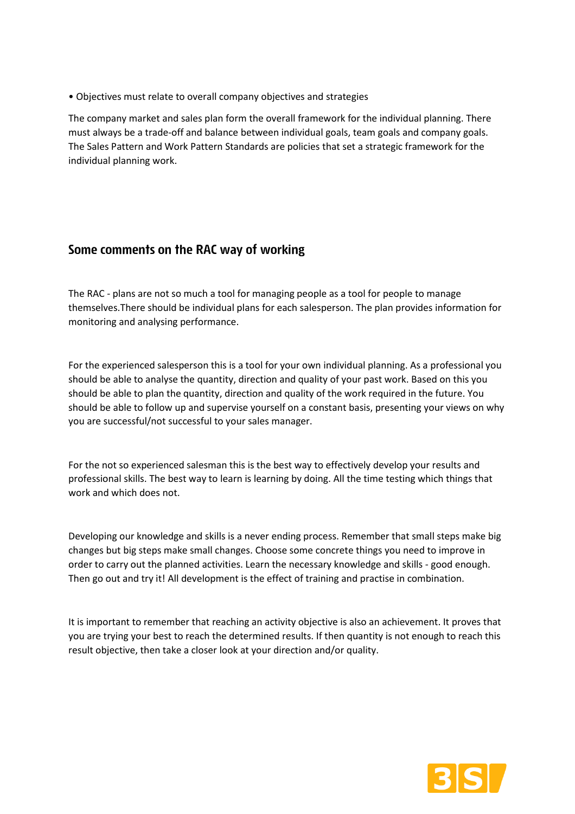• Objectives must relate to overall company objectives and strategies

The company market and sales plan form the overall framework for the individual planning. There must always be a trade-off and balance between individual goals, team goals and company goals. The Sales Pattern and Work Pattern Standards are policies that set a strategic framework for the individual planning work.

# Some comments on the RAC way of working

The RAC - plans are not so much a tool for managing people as a tool for people to manage themselves.There should be individual plans for each salesperson. The plan provides information for monitoring and analysing performance.

For the experienced salesperson this is a tool for your own individual planning. As a professional you should be able to analyse the quantity, direction and quality of your past work. Based on this you should be able to plan the quantity, direction and quality of the work required in the future. You should be able to follow up and supervise yourself on a constant basis, presenting your views on why you are successful/not successful to your sales manager.

For the not so experienced salesman this is the best way to effectively develop your results and professional skills. The best way to learn is learning by doing. All the time testing which things that work and which does not.

Developing our knowledge and skills is a never ending process. Remember that small steps make big changes but big steps make small changes. Choose some concrete things you need to improve in order to carry out the planned activities. Learn the necessary knowledge and skills - good enough. Then go out and try it! All development is the effect of training and practise in combination.

It is important to remember that reaching an activity objective is also an achievement. It proves that you are trying your best to reach the determined results. If then quantity is not enough to reach this result objective, then take a closer look at your direction and/or quality.

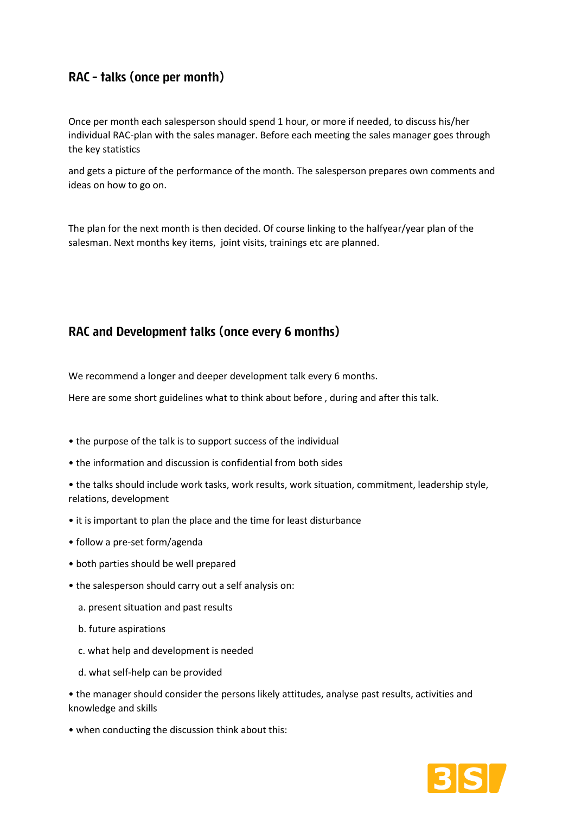# RAC - talks (once per month)

Once per month each salesperson should spend 1 hour, or more if needed, to discuss his/her individual RAC-plan with the sales manager. Before each meeting the sales manager goes through the key statistics

and gets a picture of the performance of the month. The salesperson prepares own comments and ideas on how to go on.

The plan for the next month is then decided. Of course linking to the halfyear/year plan of the salesman. Next months key items, joint visits, trainings etc are planned.

# RAC and Development talks (once every 6 months)

We recommend a longer and deeper development talk every 6 months.

Here are some short guidelines what to think about before , during and after this talk.

- the purpose of the talk is to support success of the individual
- the information and discussion is confidential from both sides
- the talks should include work tasks, work results, work situation, commitment, leadership style, relations, development
- it is important to plan the place and the time for least disturbance
- follow a pre-set form/agenda
- both parties should be well prepared
- the salesperson should carry out a self analysis on:
	- a. present situation and past results
	- b. future aspirations
	- c. what help and development is needed
	- d. what self-help can be provided

• the manager should consider the persons likely attitudes, analyse past results, activities and knowledge and skills

• when conducting the discussion think about this: